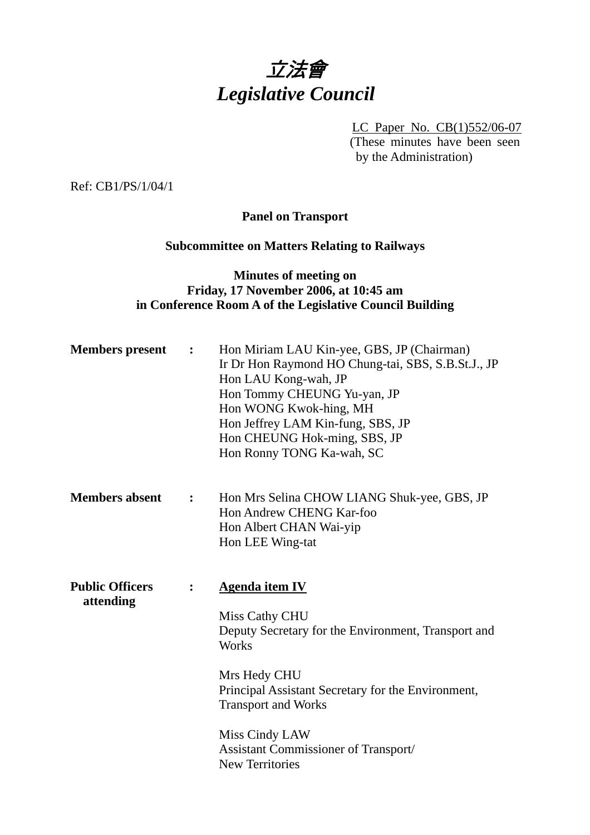# 立法會 *Legislative Council*

LC Paper No. CB(1)552/06-07 (These minutes have been seen by the Administration)

Ref: CB1/PS/1/04/1

#### **Panel on Transport**

### **Subcommittee on Matters Relating to Railways**

#### **Minutes of meeting on Friday, 17 November 2006, at 10:45 am in Conference Room A of the Legislative Council Building**

| <b>Members</b> present              | $\ddot{\cdot}$ | Hon Miriam LAU Kin-yee, GBS, JP (Chairman)<br>Ir Dr Hon Raymond HO Chung-tai, SBS, S.B.St.J., JP<br>Hon LAU Kong-wah, JP<br>Hon Tommy CHEUNG Yu-yan, JP<br>Hon WONG Kwok-hing, MH<br>Hon Jeffrey LAM Kin-fung, SBS, JP<br>Hon CHEUNG Hok-ming, SBS, JP<br>Hon Ronny TONG Ka-wah, SC             |
|-------------------------------------|----------------|-------------------------------------------------------------------------------------------------------------------------------------------------------------------------------------------------------------------------------------------------------------------------------------------------|
| <b>Members absent</b>               | :              | Hon Mrs Selina CHOW LIANG Shuk-yee, GBS, JP<br>Hon Andrew CHENG Kar-foo<br>Hon Albert CHAN Wai-yip<br>Hon LEE Wing-tat                                                                                                                                                                          |
| <b>Public Officers</b><br>attending | $\ddot{\cdot}$ | <b>Agenda item IV</b><br>Miss Cathy CHU<br>Deputy Secretary for the Environment, Transport and<br>Works<br>Mrs Hedy CHU<br>Principal Assistant Secretary for the Environment,<br><b>Transport and Works</b><br>Miss Cindy LAW<br>Assistant Commissioner of Transport/<br><b>New Territories</b> |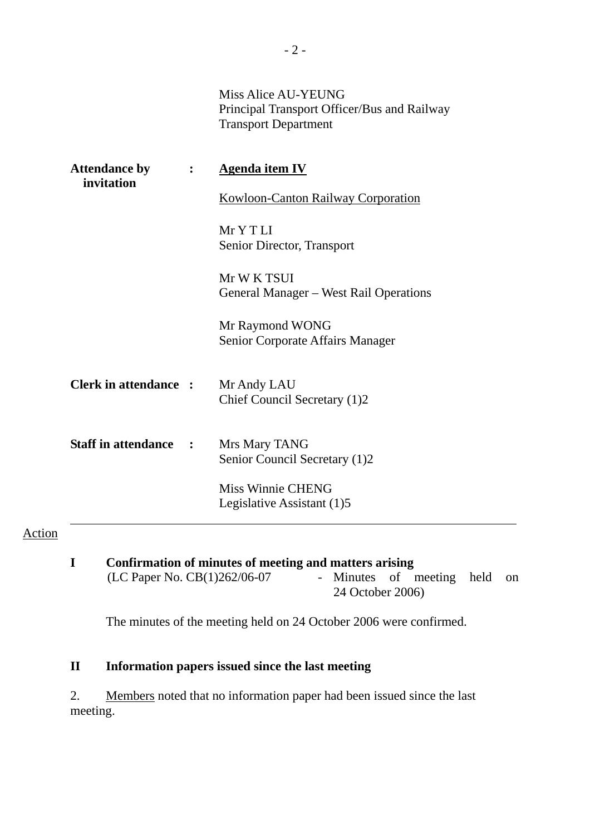Miss Alice AU-YEUNG Principal Transport Officer/Bus and Railway Transport Department

| <b>Attendance by</b><br>invitation | $\ddot{\cdot}$ | <b>Agenda item IV</b>                                 |  |  |  |  |  |
|------------------------------------|----------------|-------------------------------------------------------|--|--|--|--|--|
|                                    |                | <b>Kowloon-Canton Railway Corporation</b>             |  |  |  |  |  |
|                                    |                | MrYTLI<br>Senior Director, Transport                  |  |  |  |  |  |
|                                    |                | Mr W K TSUI<br>General Manager – West Rail Operations |  |  |  |  |  |
|                                    |                | Mr Raymond WONG<br>Senior Corporate Affairs Manager   |  |  |  |  |  |
| <b>Clerk in attendance :</b>       |                | Mr Andy LAU<br>Chief Council Secretary (1)2           |  |  |  |  |  |
| <b>Staff in attendance :</b>       |                | Mrs Mary TANG<br>Senior Council Secretary (1)2        |  |  |  |  |  |
|                                    |                | Miss Winnie CHENG<br>Legislative Assistant (1)5       |  |  |  |  |  |

#### Action

**I** Confirmation of minutes of meeting and matters arising (LC Paper No. CB(1)262/06-07 - Minutes of r - Minutes of meeting held on 24 October 2006)

The minutes of the meeting held on 24 October 2006 were confirmed.

## **II Information papers issued since the last meeting**

2. Members noted that no information paper had been issued since the last meeting.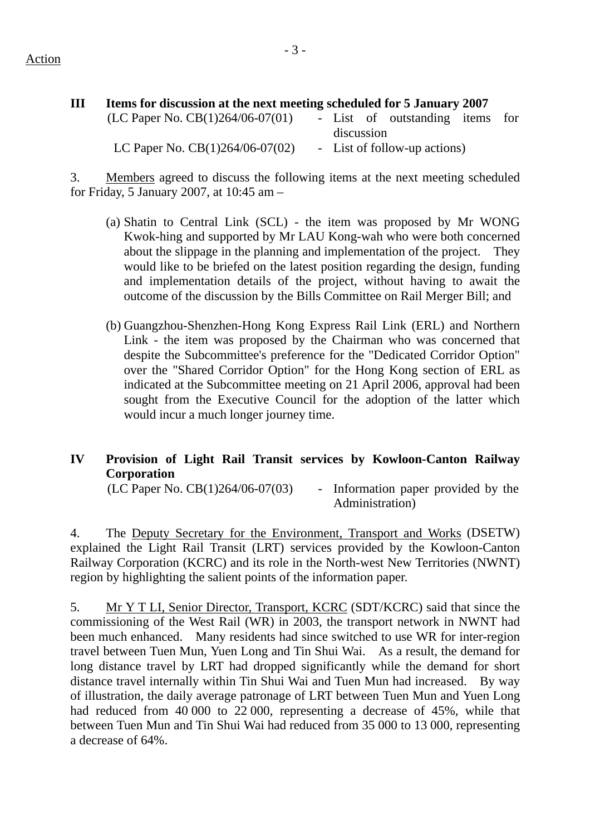| Ш | Items for discussion at the next meeting scheduled for 5 January 2007 |  |            |  |                                 |  |  |  |  |  |  |  |
|---|-----------------------------------------------------------------------|--|------------|--|---------------------------------|--|--|--|--|--|--|--|
|   | (LC Paper No. $CB(1)264/06-07(01)$ )                                  |  |            |  | - List of outstanding items for |  |  |  |  |  |  |  |
|   |                                                                       |  | discussion |  |                                 |  |  |  |  |  |  |  |
|   | LC Paper No. $CB(1)264/06-07(02)$                                     |  |            |  | - List of follow-up actions)    |  |  |  |  |  |  |  |

3. Members agreed to discuss the following items at the next meeting scheduled for Friday, 5 January 2007, at 10:45 am –

- (a) Shatin to Central Link (SCL) the item was proposed by Mr WONG Kwok-hing and supported by Mr LAU Kong-wah who were both concerned about the slippage in the planning and implementation of the project. They would like to be briefed on the latest position regarding the design, funding and implementation details of the project, without having to await the outcome of the discussion by the Bills Committee on Rail Merger Bill; and
- (b) Guangzhou-Shenzhen-Hong Kong Express Rail Link (ERL) and Northern Link - the item was proposed by the Chairman who was concerned that despite the Subcommittee's preference for the "Dedicated Corridor Option" over the "Shared Corridor Option" for the Hong Kong section of ERL as indicated at the Subcommittee meeting on 21 April 2006, approval had been sought from the Executive Council for the adoption of the latter which would incur a much longer journey time.

#### **IV Provision of Light Rail Transit services by Kowloon-Canton Railway Corporation**

 $(LC$  Paper No.  $CB(1)264/06-07(03)$  - Information paper provided by the Administration)

4. The Deputy Secretary for the Environment, Transport and Works (DSETW) explained the Light Rail Transit (LRT) services provided by the Kowloon-Canton Railway Corporation (KCRC) and its role in the North-west New Territories (NWNT) region by highlighting the salient points of the information paper.

5. Mr Y T LI, Senior Director, Transport, KCRC (SDT/KCRC) said that since the commissioning of the West Rail (WR) in 2003, the transport network in NWNT had been much enhanced. Many residents had since switched to use WR for inter-region travel between Tuen Mun, Yuen Long and Tin Shui Wai. As a result, the demand for long distance travel by LRT had dropped significantly while the demand for short distance travel internally within Tin Shui Wai and Tuen Mun had increased. By way of illustration, the daily average patronage of LRT between Tuen Mun and Yuen Long had reduced from 40 000 to 22 000, representing a decrease of 45%, while that between Tuen Mun and Tin Shui Wai had reduced from 35 000 to 13 000, representing a decrease of 64%.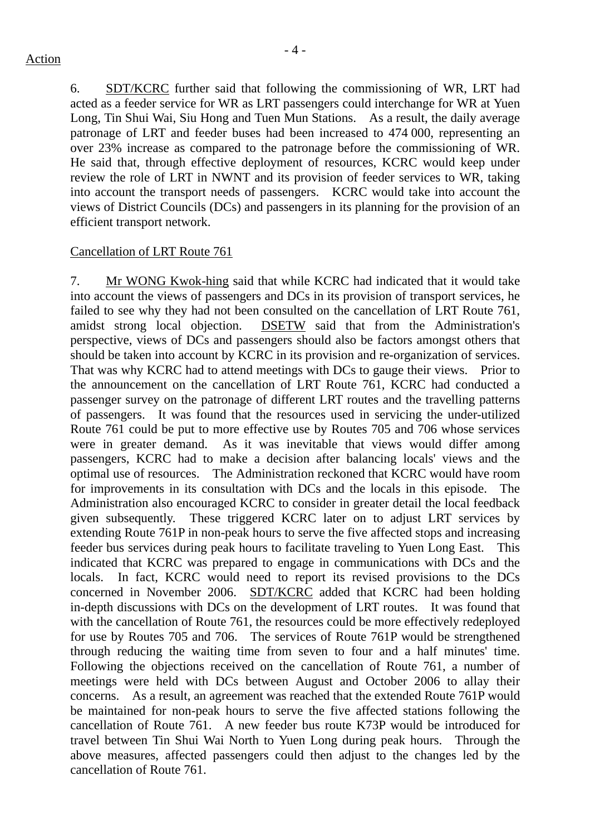6. SDT/KCRC further said that following the commissioning of WR, LRT had acted as a feeder service for WR as LRT passengers could interchange for WR at Yuen Long, Tin Shui Wai, Siu Hong and Tuen Mun Stations. As a result, the daily average patronage of LRT and feeder buses had been increased to 474 000, representing an over 23% increase as compared to the patronage before the commissioning of WR. He said that, through effective deployment of resources, KCRC would keep under review the role of LRT in NWNT and its provision of feeder services to WR, taking into account the transport needs of passengers. KCRC would take into account the views of District Councils (DCs) and passengers in its planning for the provision of an efficient transport network.

#### Cancellation of LRT Route 761

7. Mr WONG Kwok-hing said that while KCRC had indicated that it would take into account the views of passengers and DCs in its provision of transport services, he failed to see why they had not been consulted on the cancellation of LRT Route 761, amidst strong local objection. DSETW said that from the Administration's perspective, views of DCs and passengers should also be factors amongst others that should be taken into account by KCRC in its provision and re-organization of services. That was why KCRC had to attend meetings with DCs to gauge their views. Prior to the announcement on the cancellation of LRT Route 761, KCRC had conducted a passenger survey on the patronage of different LRT routes and the travelling patterns of passengers. It was found that the resources used in servicing the under-utilized Route 761 could be put to more effective use by Routes 705 and 706 whose services were in greater demand. As it was inevitable that views would differ among passengers, KCRC had to make a decision after balancing locals' views and the optimal use of resources. The Administration reckoned that KCRC would have room for improvements in its consultation with DCs and the locals in this episode. The Administration also encouraged KCRC to consider in greater detail the local feedback given subsequently. These triggered KCRC later on to adjust LRT services by extending Route 761P in non-peak hours to serve the five affected stops and increasing feeder bus services during peak hours to facilitate traveling to Yuen Long East. This indicated that KCRC was prepared to engage in communications with DCs and the locals. In fact, KCRC would need to report its revised provisions to the DCs concerned in November 2006. SDT/KCRC added that KCRC had been holding in-depth discussions with DCs on the development of LRT routes. It was found that with the cancellation of Route 761, the resources could be more effectively redeployed for use by Routes 705 and 706. The services of Route 761P would be strengthened through reducing the waiting time from seven to four and a half minutes' time. Following the objections received on the cancellation of Route 761, a number of meetings were held with DCs between August and October 2006 to allay their concerns. As a result, an agreement was reached that the extended Route 761P would be maintained for non-peak hours to serve the five affected stations following the cancellation of Route 761. A new feeder bus route K73P would be introduced for travel between Tin Shui Wai North to Yuen Long during peak hours. Through the above measures, affected passengers could then adjust to the changes led by the cancellation of Route 761.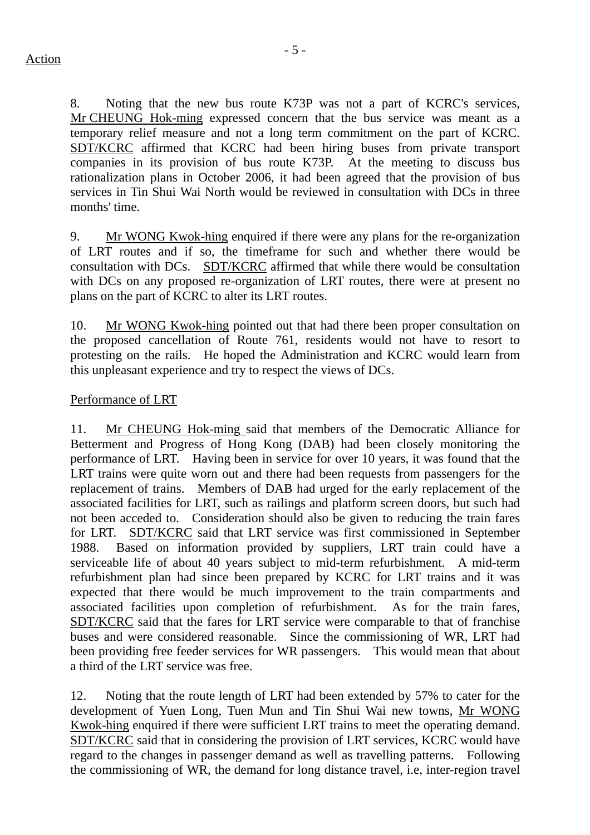8. Noting that the new bus route K73P was not a part of KCRC's services, Mr CHEUNG Hok-ming expressed concern that the bus service was meant as a temporary relief measure and not a long term commitment on the part of KCRC. SDT/KCRC affirmed that KCRC had been hiring buses from private transport companies in its provision of bus route K73P. At the meeting to discuss bus rationalization plans in October 2006, it had been agreed that the provision of bus services in Tin Shui Wai North would be reviewed in consultation with DCs in three months' time.

9. Mr WONG Kwok-hing enquired if there were any plans for the re-organization of LRT routes and if so, the timeframe for such and whether there would be consultation with DCs. SDT/KCRC affirmed that while there would be consultation with DCs on any proposed re-organization of LRT routes, there were at present no plans on the part of KCRC to alter its LRT routes.

10. Mr WONG Kwok-hing pointed out that had there been proper consultation on the proposed cancellation of Route 761, residents would not have to resort to protesting on the rails. He hoped the Administration and KCRC would learn from this unpleasant experience and try to respect the views of DCs.

#### Performance of LRT

11. Mr CHEUNG Hok-ming said that members of the Democratic Alliance for Betterment and Progress of Hong Kong (DAB) had been closely monitoring the performance of LRT. Having been in service for over 10 years, it was found that the LRT trains were quite worn out and there had been requests from passengers for the replacement of trains. Members of DAB had urged for the early replacement of the associated facilities for LRT, such as railings and platform screen doors, but such had not been acceded to. Consideration should also be given to reducing the train fares for LRT. SDT/KCRC said that LRT service was first commissioned in September 1988. Based on information provided by suppliers, LRT train could have a serviceable life of about 40 years subject to mid-term refurbishment. A mid-term refurbishment plan had since been prepared by KCRC for LRT trains and it was expected that there would be much improvement to the train compartments and associated facilities upon completion of refurbishment. As for the train fares, SDT/KCRC said that the fares for LRT service were comparable to that of franchise buses and were considered reasonable. Since the commissioning of WR, LRT had been providing free feeder services for WR passengers. This would mean that about a third of the LRT service was free.

12. Noting that the route length of LRT had been extended by 57% to cater for the development of Yuen Long, Tuen Mun and Tin Shui Wai new towns, Mr WONG Kwok-hing enquired if there were sufficient LRT trains to meet the operating demand. SDT/KCRC said that in considering the provision of LRT services, KCRC would have regard to the changes in passenger demand as well as travelling patterns. Following the commissioning of WR, the demand for long distance travel, i.e, inter-region travel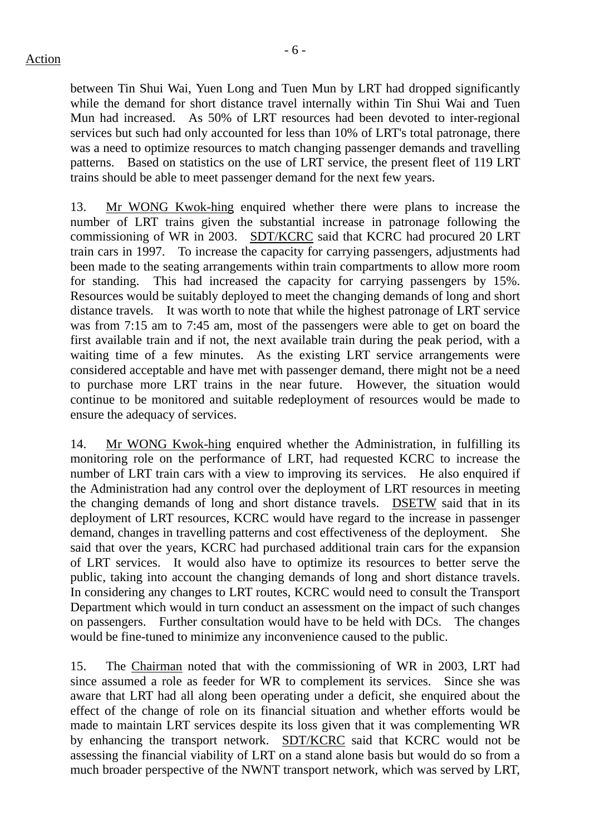- 6 -

between Tin Shui Wai, Yuen Long and Tuen Mun by LRT had dropped significantly while the demand for short distance travel internally within Tin Shui Wai and Tuen Mun had increased. As 50% of LRT resources had been devoted to inter-regional services but such had only accounted for less than 10% of LRT's total patronage, there was a need to optimize resources to match changing passenger demands and travelling patterns. Based on statistics on the use of LRT service, the present fleet of 119 LRT trains should be able to meet passenger demand for the next few years.

13. Mr WONG Kwok-hing enquired whether there were plans to increase the number of LRT trains given the substantial increase in patronage following the commissioning of WR in 2003. SDT/KCRC said that KCRC had procured 20 LRT train cars in 1997. To increase the capacity for carrying passengers, adjustments had been made to the seating arrangements within train compartments to allow more room for standing. This had increased the capacity for carrying passengers by 15%. Resources would be suitably deployed to meet the changing demands of long and short distance travels. It was worth to note that while the highest patronage of LRT service was from 7:15 am to 7:45 am, most of the passengers were able to get on board the first available train and if not, the next available train during the peak period, with a waiting time of a few minutes. As the existing LRT service arrangements were considered acceptable and have met with passenger demand, there might not be a need to purchase more LRT trains in the near future. However, the situation would continue to be monitored and suitable redeployment of resources would be made to ensure the adequacy of services.

14. Mr WONG Kwok-hing enquired whether the Administration, in fulfilling its monitoring role on the performance of LRT, had requested KCRC to increase the number of LRT train cars with a view to improving its services. He also enquired if the Administration had any control over the deployment of LRT resources in meeting the changing demands of long and short distance travels. DSETW said that in its deployment of LRT resources, KCRC would have regard to the increase in passenger demand, changes in travelling patterns and cost effectiveness of the deployment. She said that over the years, KCRC had purchased additional train cars for the expansion of LRT services. It would also have to optimize its resources to better serve the public, taking into account the changing demands of long and short distance travels. In considering any changes to LRT routes, KCRC would need to consult the Transport Department which would in turn conduct an assessment on the impact of such changes on passengers. Further consultation would have to be held with DCs. The changes would be fine-tuned to minimize any inconvenience caused to the public.

15. The Chairman noted that with the commissioning of WR in 2003, LRT had since assumed a role as feeder for WR to complement its services. Since she was aware that LRT had all along been operating under a deficit, she enquired about the effect of the change of role on its financial situation and whether efforts would be made to maintain LRT services despite its loss given that it was complementing WR by enhancing the transport network. SDT/KCRC said that KCRC would not be assessing the financial viability of LRT on a stand alone basis but would do so from a much broader perspective of the NWNT transport network, which was served by LRT,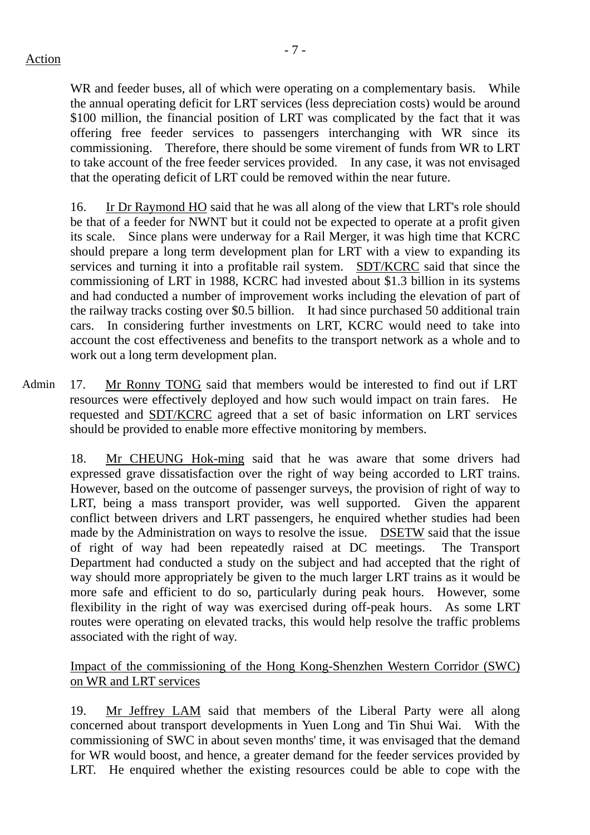WR and feeder buses, all of which were operating on a complementary basis. While the annual operating deficit for LRT services (less depreciation costs) would be around \$100 million, the financial position of LRT was complicated by the fact that it was offering free feeder services to passengers interchanging with WR since its commissioning. Therefore, there should be some virement of funds from WR to LRT to take account of the free feeder services provided. In any case, it was not envisaged that the operating deficit of LRT could be removed within the near future.

16. Ir Dr Raymond HO said that he was all along of the view that LRT's role should be that of a feeder for NWNT but it could not be expected to operate at a profit given its scale. Since plans were underway for a Rail Merger, it was high time that KCRC should prepare a long term development plan for LRT with a view to expanding its services and turning it into a profitable rail system. SDT/KCRC said that since the commissioning of LRT in 1988, KCRC had invested about \$1.3 billion in its systems and had conducted a number of improvement works including the elevation of part of the railway tracks costing over \$0.5 billion. It had since purchased 50 additional train cars. In considering further investments on LRT, KCRC would need to take into account the cost effectiveness and benefits to the transport network as a whole and to work out a long term development plan.

Admin 17. Mr Ronny TONG said that members would be interested to find out if LRT resources were effectively deployed and how such would impact on train fares. He requested and SDT/KCRC agreed that a set of basic information on LRT services should be provided to enable more effective monitoring by members.

18. Mr CHEUNG Hok-ming said that he was aware that some drivers had expressed grave dissatisfaction over the right of way being accorded to LRT trains. However, based on the outcome of passenger surveys, the provision of right of way to LRT, being a mass transport provider, was well supported. Given the apparent conflict between drivers and LRT passengers, he enquired whether studies had been made by the Administration on ways to resolve the issue. DSETW said that the issue of right of way had been repeatedly raised at DC meetings. The Transport Department had conducted a study on the subject and had accepted that the right of way should more appropriately be given to the much larger LRT trains as it would be more safe and efficient to do so, particularly during peak hours. However, some flexibility in the right of way was exercised during off-peak hours. As some LRT routes were operating on elevated tracks, this would help resolve the traffic problems associated with the right of way.

#### Impact of the commissioning of the Hong Kong-Shenzhen Western Corridor (SWC) on WR and LRT services

19. Mr Jeffrey LAM said that members of the Liberal Party were all along concerned about transport developments in Yuen Long and Tin Shui Wai. With the commissioning of SWC in about seven months' time, it was envisaged that the demand for WR would boost, and hence, a greater demand for the feeder services provided by LRT. He enquired whether the existing resources could be able to cope with the